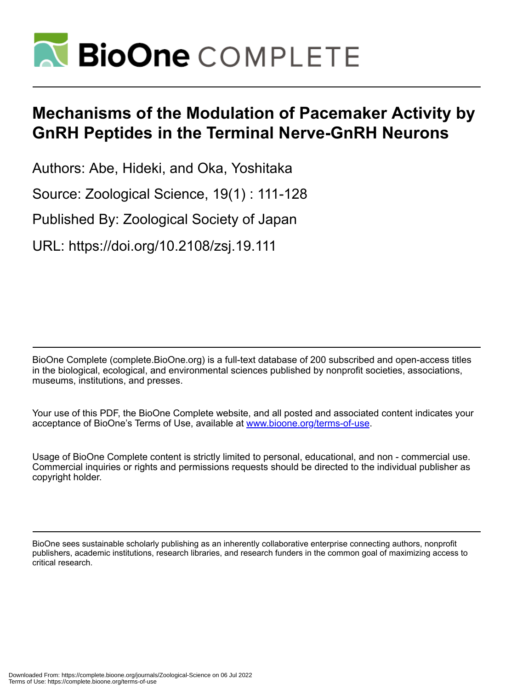

# **Mechanisms of the Modulation of Pacemaker Activity by GnRH Peptides in the Terminal Nerve-GnRH Neurons**

Authors: Abe, Hideki, and Oka, Yoshitaka

Source: Zoological Science, 19(1) : 111-128

Published By: Zoological Society of Japan

URL: https://doi.org/10.2108/zsj.19.111

BioOne Complete (complete.BioOne.org) is a full-text database of 200 subscribed and open-access titles in the biological, ecological, and environmental sciences published by nonprofit societies, associations, museums, institutions, and presses.

Your use of this PDF, the BioOne Complete website, and all posted and associated content indicates your acceptance of BioOne's Terms of Use, available at www.bioone.org/terms-of-use.

Usage of BioOne Complete content is strictly limited to personal, educational, and non - commercial use. Commercial inquiries or rights and permissions requests should be directed to the individual publisher as copyright holder.

BioOne sees sustainable scholarly publishing as an inherently collaborative enterprise connecting authors, nonprofit publishers, academic institutions, research libraries, and research funders in the common goal of maximizing access to critical research.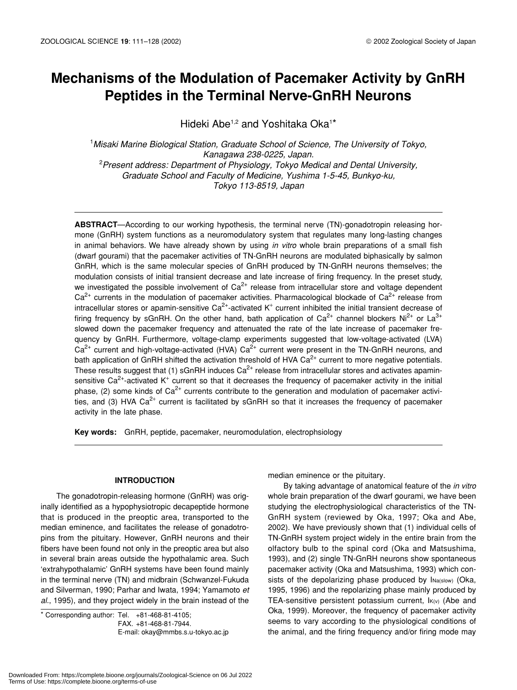## **Mechanisms of the Modulation of Pacemaker Activity by GnRH Peptides in the Terminal Nerve-GnRH Neurons**

Hideki Abe<sup>1,2</sup> and Yoshitaka Oka<sup>1\*</sup>

1 *Misaki Marine Biological Station, Graduate School of Science, The University of Tokyo, Kanagawa 238-0225, Japan.* 2 *Present address: Department of Physiology, Tokyo Medical and Dental University, Graduate School and Faculty of Medicine, Yushima 1-5-45, Bunkyo-ku, Tokyo 113-8519, Japan*

**ABSTRACT**—According to our working hypothesis, the terminal nerve (TN)-gonadotropin releasing hormone (GnRH) system functions as a neuromodulatory system that regulates many long-lasting changes in animal behaviors. We have already shown by using *in vitro* whole brain preparations of a small fish (dwarf gourami) that the pacemaker activities of TN-GnRH neurons are modulated biphasically by salmon GnRH, which is the same molecular species of GnRH produced by TN-GnRH neurons themselves; the modulation consists of initial transient decrease and late increase of firing frequency. In the preset study, we investigated the possible involvement of  $Ca<sup>2+</sup>$  release from intracellular store and voltage dependent  $Ca<sup>2+</sup>$  currents in the modulation of pacemaker activities. Pharmacological blockade of  $Ca<sup>2+</sup>$  release from intracellular stores or apamin-sensitive Ca<sup>2+</sup>-activated K<sup>+</sup> current inhibited the initial transient decrease of firing frequency by sGnRH. On the other hand, bath application of  $Ca<sup>2+</sup>$  channel blockers Ni<sup>2+</sup> or La<sup>3+</sup> slowed down the pacemaker frequency and attenuated the rate of the late increase of pacemaker frequency by GnRH. Furthermore, voltage-clamp experiments suggested that low-voltage-activated (LVA)  $Ca<sup>2+</sup>$  current and high-voltage-activated (HVA)  $Ca<sup>2+</sup>$  current were present in the TN-GnRH neurons, and bath application of GnRH shifted the activation threshold of HVA  $Ca<sup>2+</sup>$  current to more negative potentials. These results suggest that (1) sGnRH induces  $Ca<sup>2+</sup>$  release from intracellular stores and activates apaminsensitive Ca<sup>2+</sup>-activated K<sup>+</sup> current so that it decreases the frequency of pacemaker activity in the initial phase, (2) some kinds of  $Ca^{2+}$  currents contribute to the generation and modulation of pacemaker activities, and (3) HVA Ca<sup>2+</sup> current is facilitated by sGnRH so that it increases the frequency of pacemaker activity in the late phase.

**Key words:** GnRH, peptide, pacemaker, neuromodulation, electrophsiology

#### **INTRODUCTION**

The gonadotropin-releasing hormone (GnRH) was originally identified as a hypophysiotropic decapeptide hormone that is produced in the preoptic area, transported to the median eminence, and facilitates the release of gonadotropins from the pituitary. However, GnRH neurons and their fibers have been found not only in the preoptic area but also in several brain areas outside the hypothalamic area. Such 'extrahypothalamic' GnRH systems have been found mainly in the terminal nerve (TN) and midbrain (Schwanzel-Fukuda and Silverman, 1990; Parhar and Iwata, 1994; Yamamoto *et al.*, 1995), and they project widely in the brain instead of the

 $*$  Corresponding author: Tel.  $+81-468-81-4105$ ; FAX. +81-468-81-7944. E-mail: okay@mmbs.s.u-tokyo.ac.jp median eminence or the pituitary.

By taking advantage of anatomical feature of the *in vitro* whole brain preparation of the dwarf gourami, we have been studying the electrophysiological characteristics of the TN-GnRH system (reviewed by Oka, 1997; Oka and Abe, 2002). We have previously shown that (1) individual cells of TN-GnRH system project widely in the entire brain from the olfactory bulb to the spinal cord (Oka and Matsushima, 1993), and (2) single TN-GnRH neurons show spontaneous pacemaker activity (Oka and Matsushima, 1993) which consists of the depolarizing phase produced by INa(slow) (Oka, 1995, 1996) and the repolarizing phase mainly produced by TEA-sensitive persistent potassium current, I<sub>K(v)</sub> (Abe and Oka, 1999). Moreover, the frequency of pacemaker activity seems to vary according to the physiological conditions of the animal, and the firing frequency and/or firing mode may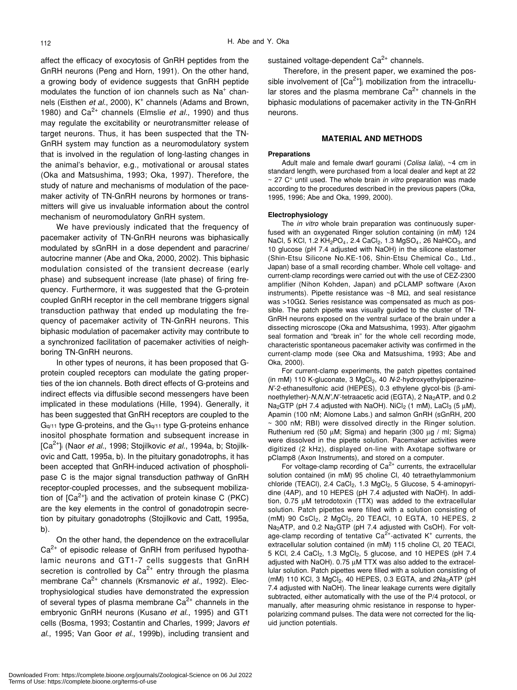affect the efficacy of exocytosis of GnRH peptides from the GnRH neurons (Peng and Horn, 1991). On the other hand, a growing body of evidence suggests that GnRH peptide modulates the function of ion channels such as  $Na<sup>+</sup>$  channels (Eisthen et al., 2000), K<sup>+</sup> channels (Adams and Brown, 1980) and  $Ca^{2+}$  channels (Elmslie *et al.*, 1990) and thus may regulate the excitability or neurotransmitter release of target neurons. Thus, it has been suspected that the TN-GnRH system may function as a neuromodulatory system that is involved in the regulation of long-lasting changes in the animal's behavior, e.g., motivational or arousal states (Oka and Matsushima, 1993; Oka, 1997). Therefore, the study of nature and mechanisms of modulation of the pacemaker activity of TN-GnRH neurons by hormones or transmitters will give us invaluable information about the control mechanism of neuromodulatory GnRH system.

We have previously indicated that the frequency of pacemaker activity of TN-GnRH neurons was biphasically modulated by sGnRH in a dose dependent and paracrine/ autocrine manner (Abe and Oka, 2000, 2002). This biphasic modulation consisted of the transient decrease (early phase) and subsequent increase (late phase) of firing frequency. Furthermore, it was suggested that the G-protein coupled GnRH receptor in the cell membrane triggers signal transduction pathway that ended up modulating the frequency of pacemaker activity of TN-GnRH neurons. This biphasic modulation of pacemaker activity may contribute to a synchronized facilitation of pacemaker activities of neighboring TN-GnRH neurons.

In other types of neurons, it has been proposed that Gprotein coupled receptors can modulate the gating properties of the ion channels. Both direct effects of G-proteins and indirect effects via diffusible second messengers have been implicated in these modulations (Hille, 1994). Generally, it has been suggested that GnRH receptors are coupled to the  $Ga<sub>111</sub>$  type G-proteins, and the  $Ga<sub>111</sub>$  type G-proteins enhance inositol phosphate formation and subsequent increase in [Ca2+]i (Naor *et al.*, 1998; Stojilkovic *et al.*, 1994a, b; Stojilkovic and Catt, 1995a, b). In the pituitary gonadotrophs, it has been accepted that GnRH-induced activation of phospholipase C is the major signal transduction pathway of GnRH receptor-coupled processes, and the subsequent mobilization of  $[Ca^{2+}]}$  and the activation of protein kinase C (PKC) are the key elements in the control of gonadotropin secretion by pituitary gonadotrophs (Stojilkovic and Catt, 1995a, b).

On the other hand, the dependence on the extracellular  $Ca<sup>2+</sup>$  of episodic release of GnRH from perifused hypothalamic neurons and GT1-7 cells suggests that GnRH secretion is controlled by  $Ca^{2+}$  entry through the plasma membrane Ca<sup>2+</sup> channels (Krsmanovic *et al.*, 1992). Electrophysiological studies have demonstrated the expression of several types of plasma membrane  $Ca<sup>2+</sup>$  channels in the embryonic GnRH neurons (Kusano *et al.*, 1995) and GT1 cells (Bosma, 1993; Costantin and Charles, 1999; Javors *et al.*, 1995; Van Goor *et al.*, 1999b), including transient and

sustained voltage-dependent  $Ca<sup>2+</sup>$  channels.

Therefore, in the present paper, we examined the possible involvement of  $[Ca^{2+}]}$  mobilization from the intracellular stores and the plasma membrane  $Ca<sup>2+</sup>$  channels in the biphasic modulations of pacemaker activity in the TN-GnRH neurons.

#### **MATERIAL AND METHODS**

#### **Preparations**

Adult male and female dwarf gourami (*Colisa lalia*), ~4 cm in standard length, were purchased from a local dealer and kept at 22 ~ 27 C° until used. The whole brain *in vitro* preparation was made according to the procedures described in the previous papers (Oka, 1995, 1996; Abe and Oka, 1999, 2000).

#### **Electrophysiology**

The *in vitro* whole brain preparation was continuously superfused with an oxygenated Ringer solution containing (in mM) 124 NaCl, 5 KCl, 1.2 KH<sub>2</sub>PO<sub>4</sub>, 2.4 CaCl<sub>2</sub>, 1.3 MgSO<sub>4</sub>, 26 NaHCO<sub>3</sub>, and 10 glucose (pH 7.4 adjusted with NaOH) in the silicone elastomer (Shin-Etsu Silicone No.KE-106, Shin-Etsu Chemical Co., Ltd., Japan) base of a small recording chamber. Whole cell voltage- and current-clamp recordings were carried out with the use of CEZ-2300 amplifier (Nihon Kohden, Japan) and pCLAMP software (Axon instruments). Pipette resistance was ~8 MΩ, and seal resistance was >10GΩ. Series resistance was compensated as much as possible. The patch pipette was visually guided to the cluster of TN-GnRH neurons exposed on the ventral surface of the brain under a dissecting microscope (Oka and Matsushima, 1993). After gigaohm seal formation and "break in" for the whole cell recording mode, characteristic spontaneous pacemaker activity was confirmed in the current-clamp mode (see Oka and Matsushima, 1993; Abe and Oka, 2000).

For current-clamp experiments, the patch pipettes contained (in mM) 110 K-gluconate, 3 MgCl<sub>2</sub>, 40 N-2-hydroxyethylpiperazine-*N'*-2-ethanesulfonic acid (HEPES), 0.3 ethylene glycol-bis (β-aminoethylether)-*N,N,N',N'*-tetraacetic acid (EGTA), 2 Na<sub>2</sub>ATP, and 0.2 Na<sub>2</sub>GTP (pH 7.4 adjusted with NaOH). NiCl<sub>2</sub> (1 mM), LaCl<sub>3</sub> (5  $\mu$ M), Apamin (100 nM; Alomone Labs.) and salmon GnRH (sGnRH, 200 ~ 300 nM; RBI) were dissolved directly in the Ringer solution. Ruthenium red (50 µM; Sigma) and heparin (300 µg / ml; Sigma) were dissolved in the pipette solution. Pacemaker activities were digitized (2 kHz), displayed on-line with Axotape software or pClamp8 (Axon Instruments), and stored on a computer.

For voltage-clamp recording of  $Ca<sup>2+</sup>$  currents, the extracellular solution contained (in mM) 95 choline Cl, 40 tetraethylammonium chloride (TEACl), 2.4 CaCl<sub>2</sub>, 1.3 MgCl<sub>2</sub>, 5 Glucose, 5 4-aminopyridine (4AP), and 10 HEPES (pH 7.4 adjusted with NaOH). In addition, 0.75 µM tetrodotoxin (TTX) was added to the extracellular solution. Patch pipettes were filled with a solution consisting of (mM) 90 CsCl<sub>2</sub>, 2 MgCl<sub>2</sub>, 20 TEACl, 10 EGTA, 10 HEPES, 2 Na<sub>2</sub>ATP, and 0.2 Na<sub>2</sub>GTP (pH 7.4 adjusted with CsOH). For voltage-clamp recording of tentative Ca<sup>2+</sup>-activated K<sup>+</sup> currents, the extracellular solution contained (in mM) 115 choline Cl, 20 TEACl, 5 KCl, 2.4 CaCl<sub>2</sub>, 1.3 MgCl<sub>2</sub>, 5 glucose, and 10 HEPES (pH 7.4 adjusted with NaOH). 0.75 µM TTX was also added to the extracellular solution. Patch pipettes were filled with a solution consisting of (mM) 110 KCl, 3  $MgCl<sub>2</sub>$ , 40 HEPES, 0.3 EGTA, and 2Na<sub>2</sub>ATP (pH) 7.4 adjusted with NaOH). The linear leakage currents were digitally subtracted, either automatically with the use of the P/4 protocol, or manually, after measuring ohmic resistance in response to hyperpolarizing command pulses. The data were not corrected for the liquid junction potentials.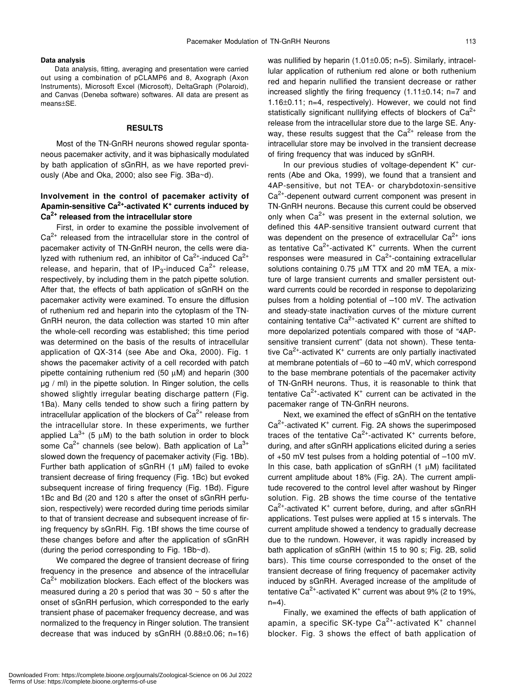#### **Data analysis**

Data analysis, fitting, averaging and presentation were carried out using a combination of pCLAMP6 and 8, Axograph (Axon Instruments), Microsoft Excel (Microsoft), DeltaGraph (Polaroid), and Canvas (Deneba software) softwares. All data are present as means±SE.

#### **RESULTS**

Most of the TN-GnRH neurons showed regular spontaneous pacemaker activity, and it was biphasically modulated by bath application of sGnRH, as we have reported previously (Abe and Oka, 2000; also see Fig. 3Ba~d).

## **Involvement in the control of pacemaker activity of Apamin-sensitive Ca2+-activated K+ currents induced by Ca2+ released from the intracellular store**

First, in order to examine the possible involvement of  $Ca<sup>2+</sup>$  released from the intracellular store in the control of pacemaker activity of TN-GnRH neuron, the cells were dialyzed with ruthenium red, an inhibitor of  $Ca^{2+}$ -induced  $Ca^{2+}$ release, and heparin, that of  $IP_3$ -induced Ca<sup>2+</sup> release, respectively, by including them in the patch pipette solution. After that, the effects of bath application of sGnRH on the pacemaker activity were examined. To ensure the diffusion of ruthenium red and heparin into the cytoplasm of the TN-GnRH neuron, the data collection was started 10 min after the whole-cell recording was established; this time period was determined on the basis of the results of intracellular application of QX-314 (see Abe and Oka, 2000). Fig. 1 shows the pacemaker activity of a cell recorded with patch pipette containing ruthenium red (50 µM) and heparin (300 µg / ml) in the pipette solution. In Ringer solution, the cells showed slightly irregular beating discharge pattern (Fig. 1Ba). Many cells tended to show such a firing pattern by intracellular application of the blockers of  $Ca<sup>2+</sup>$  release from the intracellular store. In these experiments, we further applied  $La^{3+}$  (5 µM) to the bath solution in order to block some  $Ca^{2+}$  channels (see below). Bath application of  $La^{3+}$ slowed down the frequency of pacemaker activity (Fig. 1Bb). Further bath application of sGnRH (1 µM) failed to evoke transient decrease of firing frequency (Fig. 1Bc) but evoked subsequent increase of firing frequency (Fig. 1Bd). Figure 1Bc and Bd (20 and 120 s after the onset of sGnRH perfusion, respectively) were recorded during time periods similar to that of transient decrease and subsequent increase of firing frequency by sGnRH. Fig. 1Bf shows the time course of these changes before and after the application of sGnRH (during the period corresponding to Fig. 1Bb~d).

We compared the degree of transient decrease of firing frequency in the presence and absence of the intracellular  $Ca<sup>2+</sup>$  mobilization blockers. Each effect of the blockers was measured during a 20 s period that was  $30 \sim 50$  s after the onset of sGnRH perfusion, which corresponded to the early transient phase of pacemaker frequency decrease, and was normalized to the frequency in Ringer solution. The transient decrease that was induced by sGnRH (0.88±0.06; n=16) was nullified by heparin (1.01±0.05; n=5). Similarly, intracellular application of ruthenium red alone or both ruthenium red and heparin nullified the transient decrease or rather increased slightly the firing frequency (1.11±0.14; n=7 and 1.16±0.11; n=4, respectively). However, we could not find statistically significant nullifying effects of blockers of  $Ca<sup>2+</sup>$ release from the intracellular store due to the large SE. Anyway, these results suggest that the  $Ca^{2+}$  release from the intracellular store may be involved in the transient decrease of firing frequency that was induced by sGnRH.

In our previous studies of voltage-dependent K<sup>+</sup> currents (Abe and Oka, 1999), we found that a transient and 4AP-sensitive, but not TEA- or charybdotoxin-sensitive  $Ca<sup>2+</sup>$ -depenent outward current component was present in TN-GnRH neurons. Because this current could be observed only when  $Ca^{2+}$  was present in the external solution, we defined this 4AP-sensitive transient outward current that was dependent on the presence of extracellular  $Ca^{2+}$  ions as tentative Ca<sup>2+</sup>-activated K<sup>+</sup> currents. When the current responses were measured in  $Ca<sup>2+</sup>$ -containing extracellular solutions containing 0.75  $\mu$ M TTX and 20 mM TEA, a mixture of large transient currents and smaller persistent outward currents could be recorded in response to depolarizing pulses from a holding potential of –100 mV. The activation and steady-state inactivation curves of the mixture current containing tentative Ca<sup>2+</sup>-activated K<sup>+</sup> current are shifted to more depolarized potentials compared with those of "4APsensitive transient current" (data not shown). These tentative Ca<sup>2+</sup>-activated K<sup>+</sup> currents are only partially inactivated at membrane potentials of –60 to –40 mV, which correspond to the base membrane potentials of the pacemaker activity of TN-GnRH neurons. Thus, it is reasonable to think that tentative Ca<sup>2+</sup>-activated K<sup>+</sup> current can be activated in the pacemaker range of TN-GnRH neurons.

Next, we examined the effect of sGnRH on the tentative  $Ca<sup>2+</sup>$ -activated K<sup>+</sup> current. Fig. 2A shows the superimposed traces of the tentative Ca<sup>2+</sup>-activated K<sup>+</sup> currents before, during, and after sGnRH applications elicited during a series of +50 mV test pulses from a holding potential of –100 mV. In this case, bath application of  $sGnRH$  (1  $\mu$ M) facilitated current amplitude about 18% (Fig. 2A). The current amplitude recovered to the control level after washout by Ringer solution. Fig. 2B shows the time course of the tentative  $Ca<sup>2+</sup>$ -activated K<sup>+</sup> current before, during, and after sGnRH applications. Test pulses were applied at 15 s intervals. The current amplitude showed a tendency to gradually decrease due to the rundown. However, it was rapidly increased by bath application of sGnRH (within 15 to 90 s; Fig. 2B, solid bars). This time course corresponded to the onset of the transient decrease of firing frequency of pacemaker activity induced by sGnRH. Averaged increase of the amplitude of tentative Ca<sup>2+</sup>-activated K<sup>+</sup> current was about 9% (2 to 19%,  $n=4$ ).

Finally, we examined the effects of bath application of apamin, a specific SK-type  $Ca^{2+}$ -activated K<sup>+</sup> channel blocker. Fig. 3 shows the effect of bath application of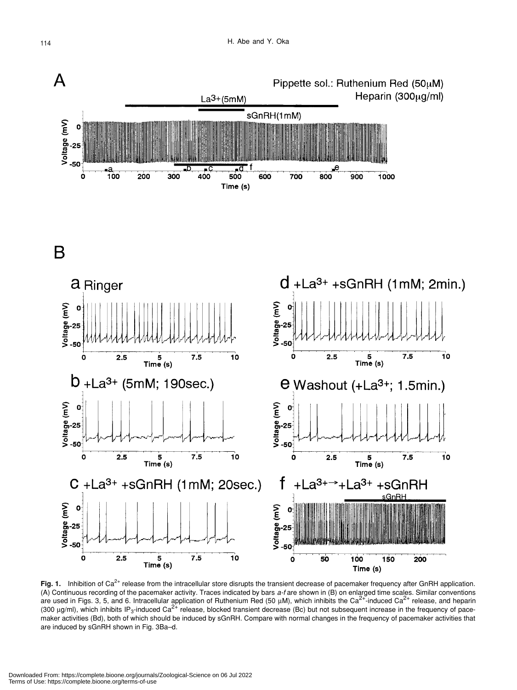

Fig. 1. Inhibition of Ca<sup>2+</sup> release from the intracellular store disrupts the transient decrease of pacemaker frequency after GnRH application. (A) Continuous recording of the pacemaker activity. Traces indicated by bars *a-f* are shown in (B) on enlarged time scales. Similar conventions are used in Figs. 3, 5, and 6. Intracellular application of Ruthenium Red (50  $\mu$ M), which inhibits the Ca<sup>2+</sup>-induced Ca<sup>2+</sup> release, and heparin (300  $\mu$ g/ml), which inhibits IP<sub>3</sub>-induced Ca<sup>2+</sup> release, blocked transient decrease (Bc) but not subsequent increase in the frequency of pacemaker activities (Bd), both of which should be induced by sGnRH. Compare with normal changes in the frequency of pacemaker activities that are induced by sGnRH shown in Fig. 3Ba–d.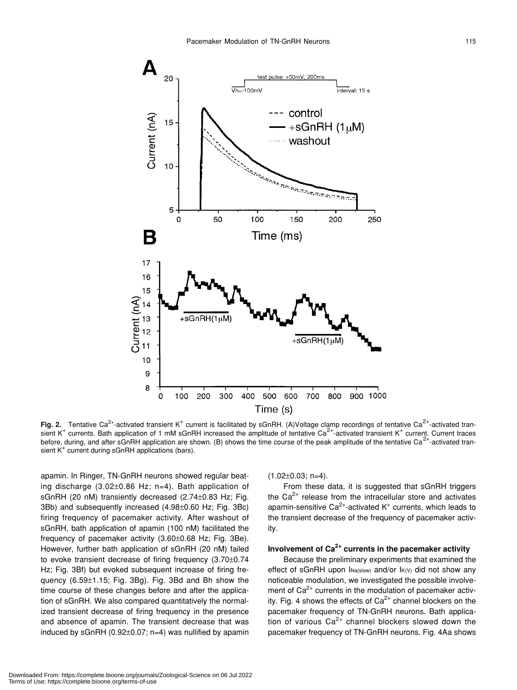

Fig. 2. Tentative Ca<sup>2+</sup>-activated transient K<sup>+</sup> current is facilitated by sGnRH. (A)Voltage clamp recordings of tentative Ca<sup>2+</sup>-activated transient K<sup>+</sup> currents. Bath application of 1 mM sGnRH increased the amplitude of tentative Ca<sup>2+</sup>-activated transient K<sup>+</sup> current. Current traces before, during, and after sGnRH application are shown. (B) shows the time course of the peak amplitude of the tentative Ca $^{2+}$ -activated transient K<sup>+</sup> current during sGnRH applications (bars).

apamin. In Ringer, TN-GnRH neurons showed regular beating discharge (3.02±0.86 Hz; n=4). Bath application of sGnRH (20 nM) transiently decreased (2.74±0.83 Hz; Fig. 3Bb) and subsequently increased (4.98±0.60 Hz; Fig. 3Bc) firing frequency of pacemaker activity. After washout of sGnRH, bath application of apamin (100 nM) facilitated the frequency of pacemaker activity (3.60±0.68 Hz; Fig. 3Be). However, further bath application of sGnRH (20 nM) failed to evoke transient decrease of firing frequency (3.70±0.74 Hz; Fig. 3Bf) but evoked subsequent increase of firing frequency (6.59±1.15; Fig. 3Bg). Fig. 3Bd and Bh show the time course of these changes before and after the application of sGnRH. We also compared quantitatively the normalized transient decrease of firing frequency in the presence and absence of apamin. The transient decrease that was induced by sGnRH (0.92±0.07; n=4) was nullified by apamin  $(1.02\pm0.03; n=4)$ .

From these data, it is suggested that sGnRH triggers the  $Ca<sup>2+</sup>$  release from the intracellular store and activates apamin-sensitive Ca<sup>2+</sup>-activated K<sup>+</sup> currents, which leads to the transient decrease of the frequency of pacemaker activity.

## **Involvement of Ca2+ currents in the pacemaker activity**

Because the preliminary experiments that examined the effect of sGnRH upon INa(slow) and/or IK(V) did not show any noticeable modulation, we investigated the possible involvement of  $Ca<sup>2+</sup>$  currents in the modulation of pacemaker activity. Fig. 4 shows the effects of  $Ca^{2+}$  channel blockers on the pacemaker frequency of TN-GnRH neurons. Bath application of various  $Ca^{2+}$  channel blockers slowed down the pacemaker frequency of TN-GnRH neurons. Fig. 4Aa shows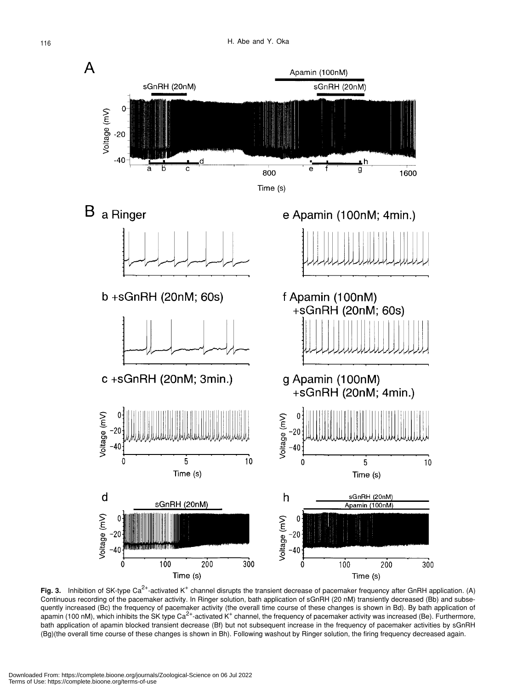

Fig. 3. Inhibition of SK-type Ca<sup>2+</sup>-activated K<sup>+</sup> channel disrupts the transient decrease of pacemaker frequency after GnRH application. (A) Continuous recording of the pacemaker activity. In Ringer solution, bath application of sGnRH (20 nM) transiently decreased (Bb) and subsequently increased (Bc) the frequency of pacemaker activity (the overall time course of these changes is shown in Bd). By bath application of apamin (100 nM), which inhibits the SK type Ca<sup>2+</sup>-activated K<sup>+</sup> channel, the frequency of pacemaker activity was increased (Be). Furthermore, bath application of apamin blocked transient decrease (Bf) but not subsequent increase in the frequency of pacemaker activities by sGnRH (Bg)(the overall time course of these changes is shown in Bh). Following washout by Ringer solution, the firing frequency decreased again.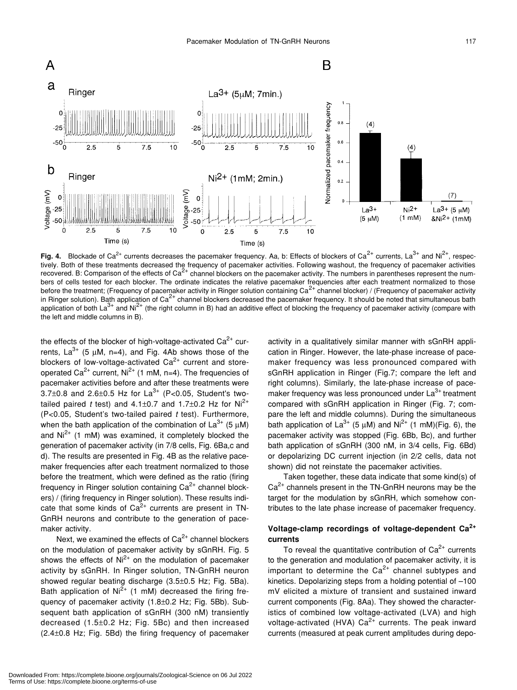

**Fig. 4.** Blockade of Ca<sup>2+</sup> currents decreases the pacemaker frequency. Aa, b: Effects of blockers of Ca<sup>2+</sup> currents, La<sup>3+</sup> and Ni<sup>2+</sup>, respectively. Both of these treatments decreased the frequency of pacemaker activities. Following washout, the frequency of pacemaker activities recovered. B: Comparison of the effects of  $Ca^{2+}$  channel blockers on the pacemaker activity. The numbers in parentheses represent the numbers of cells tested for each blocker. The ordinate indicates the relative pacemaker frequencies after each treatment normalized to those before the treatment; (Frequency of pacemaker activity in Ringer solution containing  $Ca<sup>2+</sup>$  channel blocker) / (Frequency of pacemaker activity in Ringer solution). Bath application of Ca<sup>2+</sup> channel blockers decreased the pacemaker frequency. It should be noted that simultaneous bath application of both La<sup>3+</sup> and Ni<sup>2+</sup> (the right column in B) had an additive effect of blocking the frequency of pacemaker activity (compare with the left and middle columns in B).

the effects of the blocker of high-voltage-activated  $Ca^{2+}$  currents,  $La^{3+}$  (5 µM, n=4), and Fig. 4Ab shows those of the blockers of low-voltage-activated  $Ca^{2+}$  current and storeoperated Ca<sup>2+</sup> current, Ni<sup>2+</sup> (1 mM, n=4). The frequencies of pacemaker activities before and after these treatments were 3.7 $\pm$ 0.8 and 2.6 $\pm$ 0.5 Hz for La<sup>3+</sup> (P<0.05, Student's twotailed paired *t* test) and  $4.1 \pm 0.7$  and  $1.7 \pm 0.2$  Hz for Ni<sup>2+</sup> (P<0.05, Student's two-tailed paired *t* test). Furthermore, when the bath application of the combination of  $La^{3+}$  (5 µM) and  $Ni<sup>2+</sup>$  (1 mM) was examined, it completely blocked the generation of pacemaker activity (in 7/8 cells, Fig. 6Ba,c and d). The results are presented in Fig. 4B as the relative pacemaker frequencies after each treatment normalized to those before the treatment, which were defined as the ratio (firing frequency in Ringer solution containing  $Ca<sup>2+</sup>$  channel blockers) / (firing frequency in Ringer solution). These results indicate that some kinds of  $Ca^{2+}$  currents are present in TN-GnRH neurons and contribute to the generation of pacemaker activity.

Next, we examined the effects of  $Ca^{2+}$  channel blockers on the modulation of pacemaker activity by sGnRH. Fig. 5 shows the effects of  $Ni<sup>2+</sup>$  on the modulation of pacemaker activity by sGnRH. In Ringer solution, TN-GnRH neuron showed regular beating discharge (3.5±0.5 Hz; Fig. 5Ba). Bath application of  $Ni^{2+}$  (1 mM) decreased the firing frequency of pacemaker activity (1.8±0.2 Hz; Fig. 5Bb). Subsequent bath application of sGnRH (300 nM) transiently decreased (1.5±0.2 Hz; Fig. 5Bc) and then increased (2.4±0.8 Hz; Fig. 5Bd) the firing frequency of pacemaker activity in a qualitatively similar manner with sGnRH application in Ringer. However, the late-phase increase of pacemaker frequency was less pronounced compared with sGnRH application in Ringer (Fig.7; compare the left and right columns). Similarly, the late-phase increase of pacemaker frequency was less pronounced under  $La<sup>3+</sup>$  treatment compared with sGnRH application in Ringer (Fig. 7; compare the left and middle columns). During the simultaneous bath application of  $La^{3+}$  (5  $\mu$ M) and Ni<sup>2+</sup> (1 mM)(Fig. 6), the pacemaker activity was stopped (Fig. 6Bb, Bc), and further bath application of sGnRH (300 nM, in 3/4 cells, Fig. 6Bd) or depolarizing DC current injection (in 2/2 cells, data not shown) did not reinstate the pacemaker activities.

Taken together, these data indicate that some kind(s) of  $Ca<sup>2+</sup>$  channels present in the TN-GnRH neurons may be the target for the modulation by sGnRH, which somehow contributes to the late phase increase of pacemaker frequency.

## **Voltage-clamp recordings of voltage-dependent Ca2+ currents**

To reveal the quantitative contribution of  $Ca<sup>2+</sup>$  currents to the generation and modulation of pacemaker activity, it is important to determine the  $Ca^{2+}$  channel subtypes and kinetics. Depolarizing steps from a holding potential of –100 mV elicited a mixture of transient and sustained inward current components (Fig. 8Aa). They showed the characteristics of combined low voltage-activated (LVA) and high voltage-activated (HVA)  $Ca^{2+}$  currents. The peak inward currents (measured at peak current amplitudes during depo-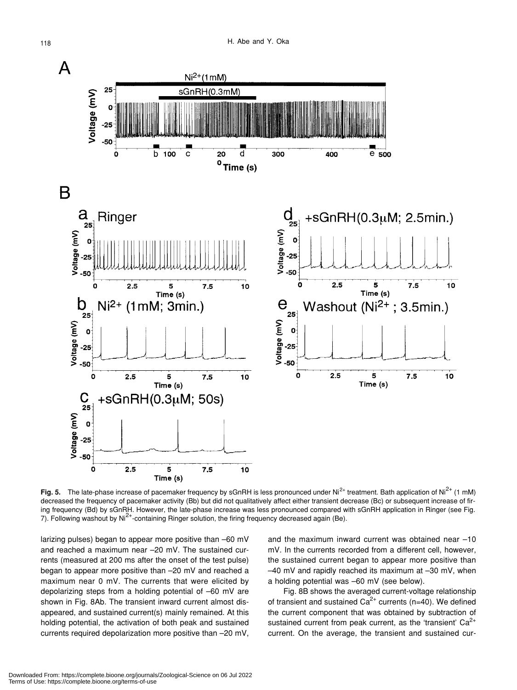

**Fig. 5.** The late-phase increase of pacemaker frequency by sGnRH is less pronounced under Ni<sup>2+</sup> treatment. Bath application of Ni<sup>2+</sup> (1 mM) decreased the frequency of pacemaker activity (Bb) but did not qualitatively affect either transient decrease (Bc) or subsequent increase of firing frequency (Bd) by sGnRH. However, the late-phase increase was less pronounced compared with sGnRH application in Ringer (see Fig. 7). Following washout by Ni<sup>2+</sup>-containing Ringer solution, the firing frequency decreased again (Be).

larizing pulses) began to appear more positive than –60 mV and reached a maximum near –20 mV. The sustained currents (measured at 200 ms after the onset of the test pulse) began to appear more positive than –20 mV and reached a maximum near 0 mV. The currents that were elicited by depolarizing steps from a holding potential of –60 mV are shown in Fig. 8Ab. The transient inward current almost disappeared, and sustained current(s) mainly remained. At this holding potential, the activation of both peak and sustained currents required depolarization more positive than –20 mV, and the maximum inward current was obtained near –10 mV. In the currents recorded from a different cell, however, the sustained current began to appear more positive than –40 mV and rapidly reached its maximum at –30 mV, when a holding potential was –60 mV (see below).

Fig. 8B shows the averaged current-voltage relationship of transient and sustained  $Ca<sup>2+</sup>$  currents (n=40). We defined the current component that was obtained by subtraction of sustained current from peak current, as the 'transient'  $Ca<sup>2+</sup>$ current. On the average, the transient and sustained cur-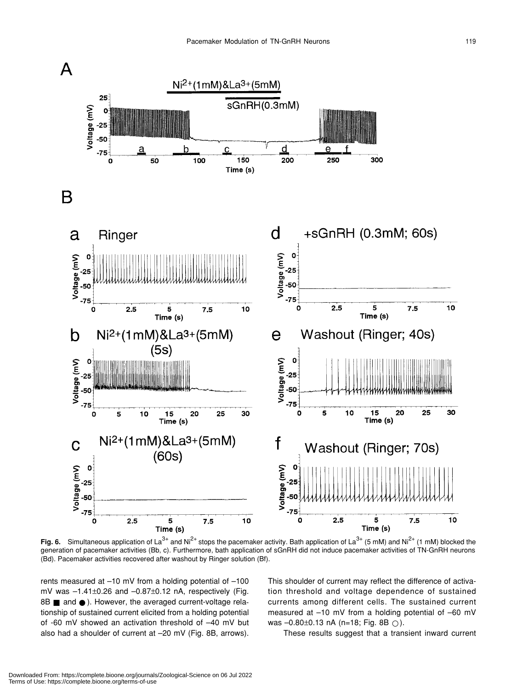

**Fig. 6.** Simultaneous application of La<sup>3+</sup> and Ni<sup>2+</sup> stops the pacemaker activity. Bath application of La<sup>3+</sup> (5 mM) and Ni<sup>2+</sup> (1 mM) blocked the generation of pacemaker activities (Bb, c). Furthermore, bath application of sGnRH did not induce pacemaker activities of TN-GnRH neurons (Bd). Pacemaker activities recovered after washout by Ringer solution (Bf).

rents measured at –10 mV from a holding potential of –100 mV was –1.41±0.26 and –0.87±0.12 nA, respectively (Fig. 8B and ). However, the averaged current-voltage relationship of sustained current elicited from a holding potential of -60 mV showed an activation threshold of –40 mV but also had a shoulder of current at –20 mV (Fig. 8B, arrows). This shoulder of current may reflect the difference of activation threshold and voltage dependence of sustained currents among different cells. The sustained current measured at –10 mV from a holding potential of –60 mV was  $-0.80\pm0.13$  nA (n=18; Fig. 8B).

These results suggest that a transient inward current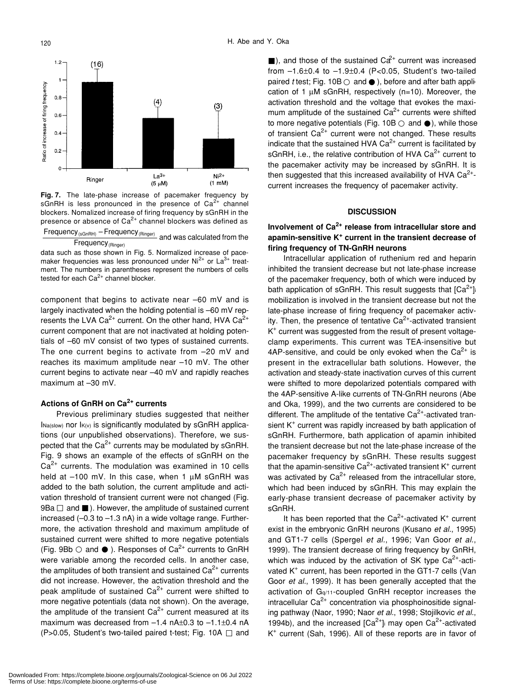

**Fig. 7.** The late-phase increase of pacemaker frequency by sGnRH is less pronounced in the presence of  $Ca^{2+}$  channel blockers. Nomalized increase of firing frequency by sGnRH in the presence or absence of  $Ca^{2+}$  channel blockers was defined as Frequency<sub>(sGnRH)</sub> – Frequency<sub>(Ringer)</sub> and was calculated from the

data such as those shown in Fig. 5. Normalized increase of pacemaker frequencies was less pronounced under  $Ni<sup>2+</sup>$  or  $La<sup>3+</sup>$  treatment. The numbers in parentheses represent the numbers of cells tested for each  $Ca<sup>2+</sup>$  channel blocker. Frequency (Ringer)

component that begins to activate near –60 mV and is largely inactivated when the holding potential is –60 mV represents the LVA Ca<sup>2+</sup> current. On the other hand, HVA Ca<sup>2+</sup> current component that are not inactivated at holding potentials of –60 mV consist of two types of sustained currents. The one current begins to activate from –20 mV and reaches its maximum amplitude near –10 mV. The other current begins to activate near –40 mV and rapidly reaches maximum at –30 mV.

## **Actions of GnRH on Ca2+ currents**

Previous preliminary studies suggested that neither  $Ina(slow)$  nor  $I_{K(v)}$  is significantly modulated by sGnRH applications (our unpublished observations). Therefore, we suspected that the  $Ca^{2+}$  currents may be modulated by sGnRH. Fig. 9 shows an example of the effects of sGnRH on the  $Ca<sup>2+</sup>$  currents. The modulation was examined in 10 cells held at  $-100$  mV. In this case, when 1  $\mu$ M sGnRH was added to the bath solution, the current amplitude and activation threshold of transient current were not changed (Fig. 9Ba and ). However, the amplitude of sustained current increased  $(-0.3$  to  $-1.3$  nA) in a wide voltage range. Furthermore, the activation threshold and maximum amplitude of sustained current were shifted to more negative potentials (Fig. 9Bb and ). Responses of  $Ca^{2+}$  currents to GnRH were variable among the recorded cells. In another case, the amplitudes of both transient and sustained  $Ca<sup>2+</sup>$  currents did not increase. However, the activation threshold and the peak amplitude of sustained  $Ca<sup>2+</sup>$  current were shifted to more negative potentials (data not shown). On the average, the amplitude of the transient  $Ca^{2+}$  current measured at its maximum was decreased from  $-1.4$  nA $\pm$ 0.3 to  $-1.1\pm$ 0.4 nA (P>0.05, Student's two-tailed paired t-test; Fig. 10A and

), and those of the sustained  $Cd^+$  current was increased from  $-1.6\pm0.4$  to  $-1.9\pm0.4$  (P<0.05, Student's two-tailed paired *t* test; Fig. 10B and ), before and after bath application of 1 µM sGnRH, respectively (n=10). Moreover, the activation threshold and the voltage that evokes the maximum amplitude of the sustained  $Ca<sup>2+</sup>$  currents were shifted to more negative potentials (Fig. 10B and ), while those of transient  $Ca^{2+}$  current were not changed. These results indicate that the sustained HVA  $Ca<sup>2+</sup>$  current is facilitated by sGnRH, i.e., the relative contribution of HVA  $Ca<sup>2+</sup>$  current to the pacemaker activity may be increased by sGnRH. It is then suggested that this increased availability of HVA  $Ca^{2+}$ current increases the frequency of pacemaker activity.

#### **DISCUSSION**

## **Involvement of Ca2+ release from intracellular store and apamin-sensitive K+ current in the transient decrease of firing frequency of TN-GnRH neurons**

Intracellular application of ruthenium red and heparin inhibited the transient decrease but not late-phase increase of the pacemaker frequency, both of which were induced by bath application of sGnRH. This result suggests that  $[Ca^{2+}]$ mobilization is involved in the transient decrease but not the late-phase increase of firing frequency of pacemaker activity. Then, the presence of tentative  $Ca<sup>2+</sup>$ -activated transient K+ current was suggested from the result of present voltageclamp experiments. This current was TEA-insensitive but 4AP-sensitive, and could be only evoked when the  $Ca^{2+}$  is present in the extracellular bath solutions. However, the activation and steady-state inactivation curves of this current were shifted to more depolarized potentials compared with the 4AP-sensitive A-like currents of TN-GnRH neurons (Abe and Oka, 1999), and the two currents are considered to be different. The amplitude of the tentative  $Ca<sup>2+</sup>$ -activated transient K<sup>+</sup> current was rapidly increased by bath application of sGnRH. Furthermore, bath application of apamin inhibited the transient decrease but not the late-phase increase of the pacemaker frequency by sGnRH. These results suggest that the apamin-sensitive Ca $^{2+}$ -activated transient K<sup>+</sup> current was activated by  $Ca^{2+}$  released from the intracellular store, which had been induced by sGnRH. This may explain the early-phase transient decrease of pacemaker activity by sGnRH.

It has been reported that the Ca<sup>2+</sup>-activated K<sup>+</sup> current exist in the embryonic GnRH neurons (Kusano *et al.*, 1995) and GT1-7 cells (Spergel *et al.*, 1996; Van Goor *et al.*, 1999). The transient decrease of firing frequency by GnRH, which was induced by the activation of SK type  $Ca^{2+}$ -activated K<sup>+</sup> current, has been reported in the GT1-7 cells (Van Goor *et al.*, 1999). It has been generally accepted that the activation of Gq/11-coupled GnRH receptor increases the intracellular  $Ca^{2+}$  concentration via phosphoinositide signaling pathway (Naor, 1990; Naor *et al.*, 1998; Stojilkovic *et al.*, 1994b), and the increased  $[Ca^{2+}]}$  may open  $Ca^{2+}$ -activated K+ current (Sah, 1996). All of these reports are in favor of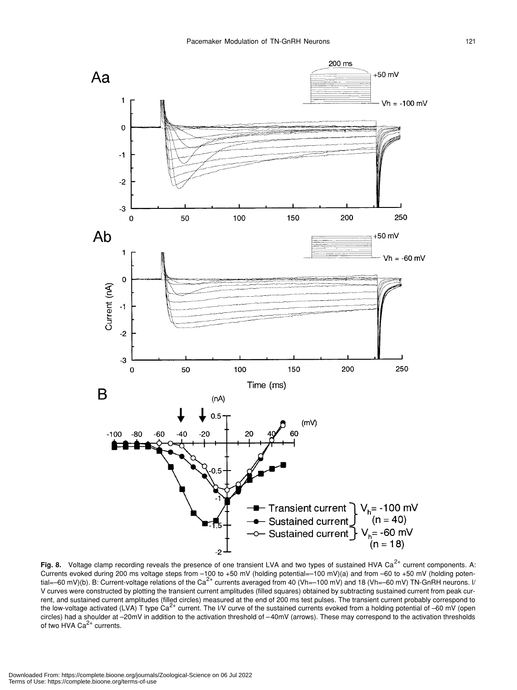

Fig. 8. Voltage clamp recording reveals the presence of one transient LVA and two types of sustained HVA Ca<sup>2+</sup> current components. A: Currents evoked during 200 ms voltage steps from –100 to +50 mV (holding potential=–100 mV)(a) and from –60 to +50 mV (holding poten-<br>tial=–60 mV)(b). B: Current-voltage relations of the Ca<sup>2+</sup> currents averaged from 40 (V V curves were constructed by plotting the transient current amplitudes (filled squares) obtained by subtracting sustained current from peak current, and sustained current amplitudes (filled circles) measured at the end of 200 ms test pulses. The transient current probably correspond to the low-voltage activated (LVA) T type  $Ca^{2+}$  current. The I/V curve of the sustained currents evoked from a holding potential of -60 mV (open circles) had a shoulder at –20mV in addition to the activation threshold of –40mV (arrows). These may correspond to the activation thresholds of two HVA  $Ca<sup>2+</sup>$  currents.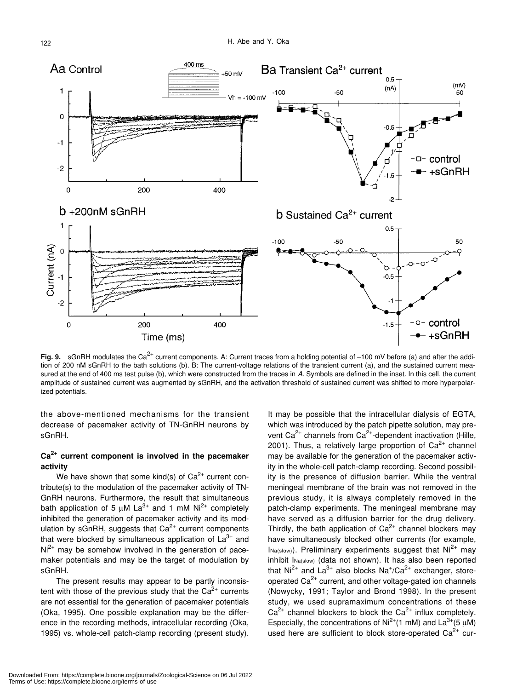

**Fig. 9.** sGnRH modulates the Ca<sup>2+</sup> current components. A: Current traces from a holding potential of –100 mV before (a) and after the addition of 200 nM sGnRH to the bath solutions (b). B: The current-voltage relations of the transient current (a), and the sustained current measured at the end of 400 ms test pulse (b), which were constructed from the traces in A. Symbols are defined in the inset. In this cell, the current amplitude of sustained current was augmented by sGnRH, and the activation threshold of sustained current was shifted to more hyperpolarized potentials.

the above-mentioned mechanisms for the transient decrease of pacemaker activity of TN-GnRH neurons by sGnRH.

## **Ca2+ current component is involved in the pacemaker activity**

We have shown that some kind(s) of  $Ca^{2+}$  current contribute(s) to the modulation of the pacemaker activity of TN-GnRH neurons. Furthermore, the result that simultaneous bath application of 5  $\mu$ M La<sup>3+</sup> and 1 mM Ni<sup>2+</sup> completely inhibited the generation of pacemaker activity and its modulation by sGnRH, suggests that  $Ca<sup>2+</sup>$  current components that were blocked by simultaneous application of  $La^{3+}$  and  $Ni<sup>2+</sup>$  may be somehow involved in the generation of pacemaker potentials and may be the target of modulation by sGnRH.

The present results may appear to be partly inconsistent with those of the previous study that the  $Ca<sup>2+</sup>$  currents are not essential for the generation of pacemaker potentials (Oka, 1995). One possible explanation may be the difference in the recording methods, intracellular recording (Oka, 1995) vs. whole-cell patch-clamp recording (present study).

It may be possible that the intracellular dialysis of EGTA, which was introduced by the patch pipette solution, may prevent  $Ca^{2+}$  channels from  $Ca^{2+}$ -dependent inactivation (Hille, 2001). Thus, a relatively large proportion of  $Ca^{2+}$  channel may be available for the generation of the pacemaker activity in the whole-cell patch-clamp recording. Second possibility is the presence of diffusion barrier. While the ventral meningeal membrane of the brain was not removed in the previous study, it is always completely removed in the patch-clamp experiments. The meningeal membrane may have served as a diffusion barrier for the drug delivery. Thirdly, the bath application of  $Ca<sup>2+</sup>$  channel blockers may have simultaneously blocked other currents (for example,  $Ina(slow)$ . Preliminary experiments suggest that  $Ni<sup>2+</sup>$  may inhibit INa(slow) (data not shown). It has also been reported that Ni<sup>2+</sup> and La<sup>3+</sup> also blocks Na<sup>+</sup>/Ca<sup>2+</sup> exchanger, storeoperated  $Ca<sup>2+</sup>$  current, and other voltage-gated ion channels (Nowycky, 1991; Taylor and Brond 1998). In the present study, we used supramaximum concentrations of these  $Ca^{2+}$  channel blockers to block the  $Ca^{2+}$  influx completely. Especially, the concentrations of Ni<sup>2+</sup>(1 mM) and La<sup>3+</sup>(5  $\mu$ M) used here are sufficient to block store-operated  $Ca^{2+}$  cur-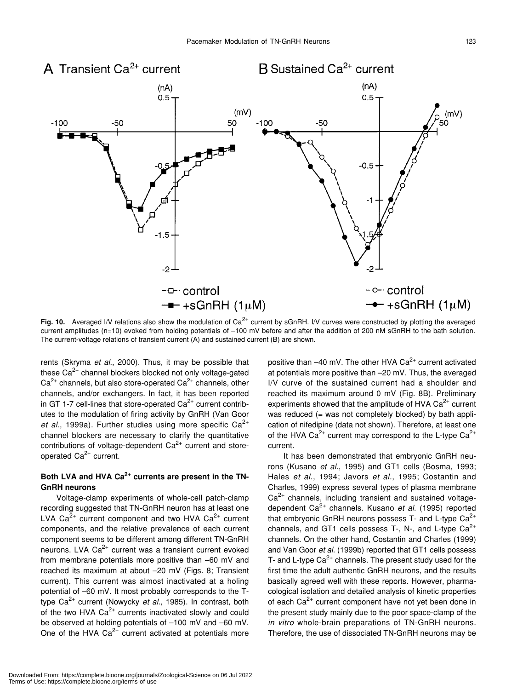

**Fig. 10.** Averaged I/V relations also show the modulation of Ca<sup>2+</sup> current by sGnRH. I/V curves were constructed by plotting the averaged current amplitudes (n=10) evoked from holding potentials of –100 mV before and after the addition of 200 nM sGnRH to the bath solution. The current-voltage relations of transient current (A) and sustained current (B) are shown.

rents (Skryma *et al.*, 2000). Thus, it may be possible that these  $Ca<sup>2+</sup>$  channel blockers blocked not only voltage-gated  $Ca<sup>2+</sup>$  channels, but also store-operated  $Ca<sup>2+</sup>$  channels, other channels, and/or exchangers. In fact, it has been reported in GT 1-7 cell-lines that store-operated  $Ca<sup>2+</sup>$  current contributes to the modulation of firing activity by GnRH (Van Goor *et al.*, 1999a). Further studies using more specific  $Ca^{2+}$ channel blockers are necessary to clarify the quantitative contributions of voltage-dependent  $Ca<sup>2+</sup>$  current and storeoperated Ca<sup>2+</sup> current.

## Both LVA and HVA Ca<sup>2+</sup> currents are present in the TN-**GnRH neurons**

Voltage-clamp experiments of whole-cell patch-clamp recording suggested that TN-GnRH neuron has at least one LVA  $Ca^{2+}$  current component and two HVA  $Ca^{2+}$  current components, and the relative prevalence of each current component seems to be different among different TN-GnRH neurons. LVA  $Ca<sup>2+</sup>$  current was a transient current evoked from membrane potentials more positive than –60 mV and reached its maximum at about –20 mV (Figs. 8; Transient current). This current was almost inactivated at a holing potential of –60 mV. It most probably corresponds to the Ttype Ca<sup>2+</sup> current (Nowycky *et al.*, 1985). In contrast, both of the two HVA  $Ca^{2+}$  currents inactivated slowly and could be observed at holding potentials of –100 mV and –60 mV. One of the HVA  $Ca^{2+}$  current activated at potentials more positive than  $-40$  mV. The other HVA Ca<sup>2+</sup> current activated at potentials more positive than –20 mV. Thus, the averaged I/V curve of the sustained current had a shoulder and reached its maximum around 0 mV (Fig. 8B). Preliminary experiments showed that the amplitude of HVA  $Ca^{2+}$  current was reduced (= was not completely blocked) by bath application of nifedipine (data not shown). Therefore, at least one of the HVA  $Ca^{2+}$  current may correspond to the L-type  $Ca^{2+}$ current.

It has been demonstrated that embryonic GnRH neurons (Kusano *et al.*, 1995) and GT1 cells (Bosma, 1993; Hales *et al.*, 1994; Javors *et al.*, 1995; Costantin and Charles, 1999) express several types of plasma membrane  $Ca<sup>2+</sup>$  channels, including transient and sustained voltagedependent Ca2+ channels. Kusano *et al.* (1995) reported that embryonic GnRH neurons possess T- and L-type  $Ca^{2+}$ channels, and GT1 cells possess T-, N-, and L-type  $Ca^{2+}$ channels. On the other hand, Costantin and Charles (1999) and Van Goor *et al.* (1999b) reported that GT1 cells possess T- and L-type  $Ca^{2+}$  channels. The present study used for the first time the adult authentic GnRH neurons, and the results basically agreed well with these reports. However, pharmacological isolation and detailed analysis of kinetic properties of each  $Ca<sup>2+</sup>$  current component have not yet been done in the present study mainly due to the poor space-clamp of the *in vitro* whole-brain preparations of TN-GnRH neurons. Therefore, the use of dissociated TN-GnRH neurons may be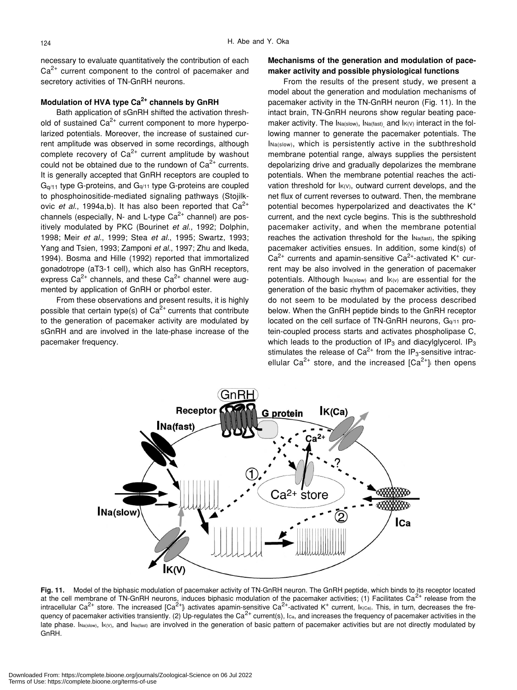necessary to evaluate quantitatively the contribution of each  $Ca<sup>2+</sup>$  current component to the control of pacemaker and secretory activities of TN-GnRH neurons.

### **Modulation of HVA type Ca2+ channels by GnRH**

Bath application of sGnRH shifted the activation threshold of sustained  $Ca^{2+}$  current component to more hyperpolarized potentials. Moreover, the increase of sustained current amplitude was observed in some recordings, although complete recovery of  $Ca^{2+}$  current amplitude by washout could not be obtained due to the rundown of  $Ca<sup>2+</sup>$  currents. It is generally accepted that GnRH receptors are coupled to  $G<sub>q/11</sub>$  type G-proteins, and  $G<sub>q/11</sub>$  type G-proteins are coupled to phosphoinositide-mediated signaling pathways (Stojilkovic *et al.*, 1994a,b). It has also been reported that  $Ca^{2+}$ channels (especially, N- and L-type  $Ca^{2+}$  channel) are positively modulated by PKC (Bourinet *et al.*, 1992; Dolphin, 1998; Meir *et al.*, 1999; Stea *et al.*, 1995; Swartz, 1993; Yang and Tsien, 1993; Zamponi *et al.*, 1997; Zhu and Ikeda, 1994). Bosma and Hille (1992) reported that immortalized gonadotrope (aT3-1 cell), which also has GnRH receptors, express  $Ca^{2+}$  channels, and these  $Ca^{2+}$  channel were augmented by application of GnRH or phorbol ester.

From these observations and present results, it is highly possible that certain type(s) of  $Ca^{2+}$  currents that contribute to the generation of pacemaker activity are modulated by sGnRH and are involved in the late-phase increase of the pacemaker frequency.

## **Mechanisms of the generation and modulation of pacemaker activity and possible physiological functions**

From the results of the present study, we present a model about the generation and modulation mechanisms of pacemaker activity in the TN-GnRH neuron (Fig. 11). In the intact brain, TN-GnRH neurons show regular beating pacemaker activity. The INa(slow), INa(fast), and IK(V) interact in the following manner to generate the pacemaker potentials. The INa(slow), which is persistently active in the subthreshold membrane potential range, always supplies the persistent depolarizing drive and gradually depolarizes the membrane potentials. When the membrane potential reaches the activation threshold for  $I_{K(V)}$ , outward current develops, and the net flux of current reverses to outward. Then, the membrane potential becomes hyperpolarized and deactivates the K<sup>+</sup> current, and the next cycle begins. This is the subthreshold pacemaker activity, and when the membrane potential reaches the activation threshold for the INa(fast), the spiking pacemaker activities ensues. In addition, some kind(s) of  $Ca<sup>2+</sup>$  currents and apamin-sensitive Ca<sup>2+</sup>-activated K<sup>+</sup> current may be also involved in the generation of pacemaker potentials. Although INa(slow) and IK(v) are essential for the generation of the basic rhythm of pacemaker activities, they do not seem to be modulated by the process described below. When the GnRH peptide binds to the GnRH receptor located on the cell surface of TN-GnRH neurons, Gq/11 protein-coupled process starts and activates phospholipase C, which leads to the production of  $IP_3$  and diacylglycerol. IP<sub>3</sub> stimulates the release of  $Ca^{2+}$  from the IP<sub>3</sub>-sensitive intracellular Ca<sup>2+</sup> store, and the increased  $[Ca<sup>2+</sup>]$  then opens



**Fig. 11.** Model of the biphasic modulation of pacemaker activity of TN-GnRH neuron. The GnRH peptide, which binds to its receptor located at the cell membrane of TN-GnRH neurons, induces biphasic modulation of the pacemaker activities; (1) Facilitates Ca<sup>2+</sup> release from the intracellular Ca<sup>2+</sup> store. The increased [Ca<sup>2+</sup>] activates apamin-sensitive Ca<sup>2+</sup>-activated K<sup>+</sup> current, I<sub>K(Ca)</sub>. This, in turn, decreases the frequency of pacemaker activities transiently. (2) Up-regulates the Ca<sup>2+</sup> current(s), Ica, and increases the frequency of pacemaker activities in the late phase. INa(slow), IK(V), and INa(fast) are involved in the generation of basic pattern of pacemaker activities but are not directly modulated by GnRH.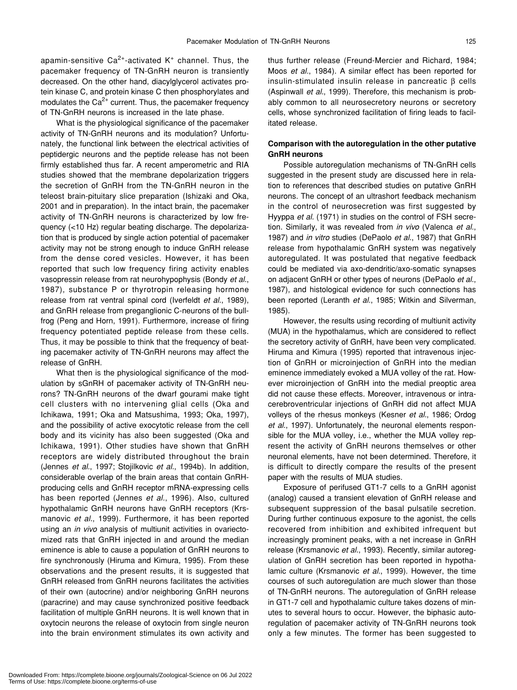apamin-sensitive  $Ca^{2+}$ -activated K<sup>+</sup> channel. Thus, the pacemaker frequency of TN-GnRH neuron is transiently decreased. On the other hand, diacylglycerol activates protein kinase C, and protein kinase C then phosphorylates and modulates the  $Ca<sup>2+</sup>$  current. Thus, the pacemaker frequency of TN-GnRH neurons is increased in the late phase.

What is the physiological significance of the pacemaker activity of TN-GnRH neurons and its modulation? Unfortunately, the functional link between the electrical activities of peptidergic neurons and the peptide release has not been firmly established thus far. A recent amperometric and RIA studies showed that the membrane depolarization triggers the secretion of GnRH from the TN-GnRH neuron in the teleost brain-pituitary slice preparation (Ishizaki and Oka, 2001 and in preparation). In the intact brain, the pacemaker activity of TN-GnRH neurons is characterized by low frequency (<10 Hz) regular beating discharge. The depolarization that is produced by single action potential of pacemaker activity may not be strong enough to induce GnRH release from the dense cored vesicles. However, it has been reported that such low frequency firing activity enables vasopressin release from rat neurohypophysis (Bondy *et al.*, 1987), substance P or thyrotropin releasing hormone release from rat ventral spinal cord (Iverfeldt *et al.*, 1989), and GnRH release from preganglionic C-neurons of the bullfrog (Peng and Horn, 1991). Furthermore, increase of firing frequency potentiated peptide release from these cells. Thus, it may be possible to think that the frequency of beating pacemaker activity of TN-GnRH neurons may affect the release of GnRH.

What then is the physiological significance of the modulation by sGnRH of pacemaker activity of TN-GnRH neurons? TN-GnRH neurons of the dwarf gourami make tight cell clusters with no intervening glial cells (Oka and Ichikawa, 1991; Oka and Matsushima, 1993; Oka, 1997), and the possibility of active exocytotic release from the cell body and its vicinity has also been suggested (Oka and Ichikawa, 1991). Other studies have shown that GnRH receptors are widely distributed throughout the brain (Jennes *et al.*, 1997; Stojilkovic *et al.*, 1994b). In addition, considerable overlap of the brain areas that contain GnRHproducing cells and GnRH receptor mRNA-expressing cells has been reported (Jennes *et al.*, 1996). Also, cultured hypothalamic GnRH neurons have GnRH receptors (Krsmanovic *et al.*, 1999). Furthermore, it has been reported using an *in vivo* analysis of multiunit activities in ovariectomized rats that GnRH injected in and around the median eminence is able to cause a population of GnRH neurons to fire synchronously (Hiruma and Kimura, 1995). From these observations and the present results, it is suggested that GnRH released from GnRH neurons facilitates the activities of their own (autocrine) and/or neighboring GnRH neurons (paracrine) and may cause synchronized positive feedback facilitation of multiple GnRH neurons. It is well known that in oxytocin neurons the release of oxytocin from single neuron into the brain environment stimulates its own activity and

thus further release (Freund-Mercier and Richard, 1984; Moos *et al.*, 1984). A similar effect has been reported for insulin-stimulated insulin release in pancreatic β cells (Aspinwall *et al.*, 1999). Therefore, this mechanism is probably common to all neurosecretory neurons or secretory cells, whose synchronized facilitation of firing leads to facilitated release.

#### **Comparison with the autoregulation in the other putative GnRH neurons**

Possible autoregulation mechanisms of TN-GnRH cells suggested in the present study are discussed here in relation to references that described studies on putative GnRH neurons. The concept of an ultrashort feedback mechanism in the control of neurosecretion was first suggested by Hyyppa *et al.* (1971) in studies on the control of FSH secretion. Similarly, it was revealed from *in vivo* (Valenca *et al.*, 1987) and *in vitro* studies (DePaolo *et al.*, 1987) that GnRH release from hypothalamic GnRH system was negatively autoregulated. It was postulated that negative feedback could be mediated via axo-dendritic/axo-somatic synapses on adjacent GnRH or other types of neurons (DePaolo *et al.*, 1987), and histological evidence for such connections has been reported (Leranth *et al.*, 1985; Witkin and Silverman, 1985).

However, the results using recording of multiunit activity (MUA) in the hypothalamus, which are considered to reflect the secretory activity of GnRH, have been very complicated. Hiruma and Kimura (1995) reported that intravenous injection of GnRH or microinjection of GnRH into the median eminence immediately evoked a MUA volley of the rat. However microinjection of GnRH into the medial preoptic area did not cause these effects. Moreover, intravenous or intracerebroventricular injections of GnRH did not affect MUA volleys of the rhesus monkeys (Kesner *et al.*, 1986; Ordog *et al.*, 1997). Unfortunately, the neuronal elements responsible for the MUA volley, i.e., whether the MUA volley represent the activity of GnRH neurons themselves or other neuronal elements, have not been determined. Therefore, it is difficult to directly compare the results of the present paper with the results of MUA studies.

Exposure of perifused GT1-7 cells to a GnRH agonist (analog) caused a transient elevation of GnRH release and subsequent suppression of the basal pulsatile secretion. During further continuous exposure to the agonist, the cells recovered from inhibition and exhibited infrequent but increasingly prominent peaks, with a net increase in GnRH release (Krsmanovic *et al.*, 1993). Recently, similar autoregulation of GnRH secretion has been reported in hypothalamic culture (Krsmanovic *et al.*, 1999). However, the time courses of such autoregulation are much slower than those of TN-GnRH neurons. The autoregulation of GnRH release in GT1-7 cell and hypothalamic culture takes dozens of minutes to several hours to occur. However, the biphasic autoregulation of pacemaker activity of TN-GnRH neurons took only a few minutes. The former has been suggested to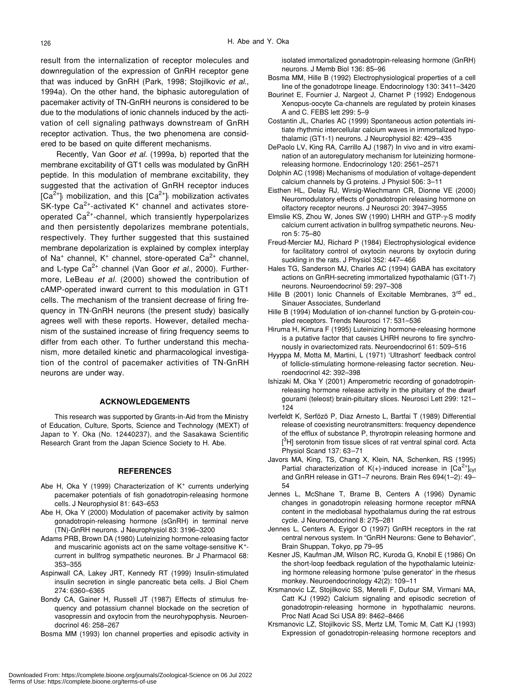result from the internalization of receptor molecules and downregulation of the expression of GnRH receptor gene that was induced by GnRH (Park, 1998; Stojilkovic *et al.*, 1994a). On the other hand, the biphasic autoregulation of pacemaker activity of TN-GnRH neurons is considered to be due to the modulations of ionic channels induced by the activation of cell signaling pathways downstream of GnRH receptor activation. Thus, the two phenomena are considered to be based on quite different mechanisms.

Recently, Van Goor *et al.* (1999a, b) reported that the membrane excitability of GT1 cells was modulated by GnRH peptide. In this modulation of membrane excitability, they suggested that the activation of GnRH receptor induces  $[Ca<sup>2+</sup>]$  mobilization, and this  $[Ca<sup>2+</sup>]$  mobilization activates SK-type  $Ca^{2+}$ -activated K<sup>+</sup> channel and activates storeoperated  $Ca^{2+}$ -channel, which transiently hyperpolarizes and then persistently depolarizes membrane potentials, respectively. They further suggested that this sustained membrane depolarization is explained by complex interplay of Na<sup>+</sup> channel, K<sup>+</sup> channel, store-operated Ca<sup>2+</sup> channel, and L-type Ca<sup>2+</sup> channel (Van Goor *et al.*, 2000). Furthermore, LeBeau *et al.* (2000) showed the contribution of cAMP-operated inward current to this modulation in GT1 cells. The mechanism of the transient decrease of firing frequency in TN-GnRH neurons (the present study) basically agrees well with these reports. However, detailed mechanism of the sustained increase of firing frequency seems to differ from each other. To further understand this mechanism, more detailed kinetic and pharmacological investigation of the control of pacemaker activities of TN-GnRH neurons are under way.

#### **ACKNOWLEDGEMENTS**

This research was supported by Grants-in-Aid from the Ministry of Education, Culture, Sports, Science and Technology (MEXT) of Japan to Y. Oka (No. 12440237), and the Sasakawa Scientific Research Grant from the Japan Science Society to H. Abe.

#### **REFERENCES**

- Abe H, Oka Y (1999) Characterization of K<sup>+</sup> currents underlying pacemaker potentials of fish gonadotropin-releasing hormone cells. J Neurophysiol 81: 643–653
- Abe H, Oka Y (2000) Modulation of pacemaker activity by salmon gonadotropin-releasing hormone (sGnRH) in terminal nerve (TN)-GnRH neurons. J Neurophysiol 83: 3196–3200
- Adams PRB, Brown DA (1980) Luteinizing hormone-releasing factor and muscarinic agonists act on the same voltage-sensitive K<sup>+</sup>current in bullfrog sympathetic neurones. Br J Pharmacol 68: 353–355
- Aspinwall CA, Lakey JRT, Kennedy RT (1999) Insulin-stimulated insulin secretion in single pancreatic beta cells. J Biol Chem 274: 6360–6365
- Bondy CA, Gainer H, Russell JT (1987) Effects of stimulus frequency and potassium channel blockade on the secretion of vasopressin and oxytocin from the neurohypophysis. Neuroendocrinol 46: 258–267
- Bosma MM (1993) Ion channel properties and episodic activity in

isolated immortalized gonadotropin-releasing hormone (GnRH) neurons. J Memb Biol 136: 85–96

- Bosma MM, Hille B (1992) Electrophysiological properties of a cell line of the gonadotrope lineage. Endocrinology 130: 3411–3420
- Bourinet E, Fournier J, Nargeot J, Charnet P (1992) Endogenous Xenopus-oocyte Ca-channels are regulated by protein kinases A and C. FEBS lett 299: 5–9
- Costantin JL, Charles AC (1999) Spontaneous action potentials initiate rhythmic intercellular calcium waves in immortalized hypothalamic (GT1-1) neurons. J Neurophysiol 82: 429–435
- DePaolo LV, King RA, Carrillo AJ (1987) In vivo and in vitro examination of an autoregulatory mechanism for luteinizing hormonereleasing hormone. Endocrinology 120: 2561–2571
- Dolphin AC (1998) Mechanisms of modulation of voltage-dependent calcium channels by G proteins. J Physiol 506: 3–11
- Eisthen HL, Delay RJ, Wirsig-Wiechmann CR, Dionne VE (2000) Neuromodulatory effects of gonadotropin releasing hormone on olfactory receptor neurons. J Neurosci 20: 3947–3955
- Elmslie KS, Zhou W, Jones SW (1990) LHRH and GTP-γ-S modify calcium current activation in bullfrog sympathetic neurons. Neuron 5: 75–80
- Freud-Mercier MJ, Richard P (1984) Electrophysiological evidence for facilitatory control of oxytocin neurons by oxytocin during suckling in the rats. J Physiol 352: 447–466
- Hales TG, Sanderson MJ, Charles AC (1994) GABA has excitatory actions on GnRH-secreting immortalized hypothalamic (GT1-7) neurons. Neuroendocrinol 59: 297–308
- Hille B (2001) Ionic Channels of Excitable Membranes, 3<sup>rd</sup> ed., Sinauer Associates, Sunderland
- Hille B (1994) Modulation of ion-channel function by G-protein-coupled receptors. Trends Neurosci 17: 531–536
- Hiruma H, Kimura F (1995) Luteinizing hormone-releasing hormone is a putative factor that causes LHRH neurons to fire synchronously in ovariectomized rats. Neuroendocrinol 61: 509–516
- Hyyppa M, Motta M, Martini, L (1971) 'Ultrashort' feedback control of follicle-stimulating hormone-releasing factor secretion. Neuroendocrinol 42: 392–398
- Ishizaki M, Oka Y (2001) Amperometric recording of gonadotropinreleasing hormone release activity in the pituitary of the dwarf gourami (teleost) brain-pituitary slices. Neurosci Lett 299: 121– 124
- Iverfeldt K, Serfözö P, Diaz Arnesto L, Bartfai T (1989) Differential release of coexisting neurotransmitters: frequency dependence of the efflux of substance P, thyrotropin releasing hormone and [<sup>3</sup>H] serotonin from tissue slices of rat ventral spinal cord. Acta Physiol Scand 137: 63–71
- Javors MA, King, TS, Chang X, Klein, NA, Schenken, RS (1995) Partial characterization of  $K(+)$ -induced increase in  $[Ca^{2+}]<sub>cyt</sub>$ and GnRH release in GT1–7 neurons. Brain Res 694(1–2): 49– 54
- Jennes L, McShane T, Brame B, Centers A (1996) Dynamic changes in gonadotropin releasing hormone receptor mRNA content in the mediobasal hypothalamus during the rat estrous cycle. J Neuroendocrinol 8: 275–281
- Jennes L, Centers A, Eyigor O (1997) GnRH receptors in the rat central nervous system. In "GnRH Neurons: Gene to Behavior", Brain Shuppan, Tokyo, pp 79–95
- Kesner JS, Kaufman JM, Wilson RC, Kuroda G, Knobil E (1986) On the short-loop feedback regulation of the hypothalamic luteinizing hormone releasing hormone 'pulse generator' in the rhesus monkey. Neuroendocrinology 42(2): 109–11
- Krsmanovic LZ, Stojilkovic SS, Merelli F, Dufour SM, Virmani MA, Catt KJ (1992) Calcium signaling and episodic secretion of gonadotropin-releasing hormone in hypothalamic neurons. Proc Natl Acad Sci USA 89: 8462–8466
- Krsmanovic LZ, Stojilkovic SS, Mertz LM, Tomic M, Catt KJ (1993) Expression of gonadotropin-releasing hormone receptors and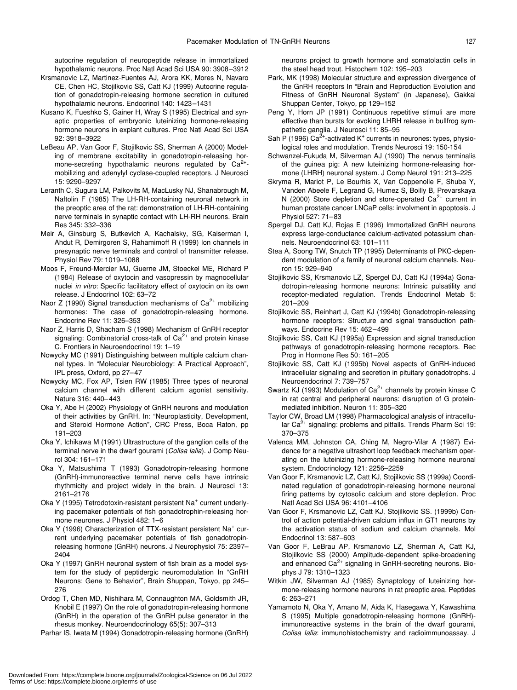autocrine regulation of neuropeptide release in immortalized hypothalamic neurons. Proc Natl Acad Sci USA 90: 3908–3912

- Krsmanovic LZ, Martinez-Fuentes AJ, Arora KK, Mores N, Navaro CE, Chen HC, Stojilkovic SS, Catt KJ (1999) Autocrine regulation of gonadotropin-releasing hormone secretion in cultured hypothalamic neurons. Endocrinol 140: 1423–1431
- Kusano K, Fueshko S, Gainer H, Wray S (1995) Electrical and synaptic properties of embryonic luteinizing hormone-releasing hormone neurons in explant cultures. Proc Natl Acad Sci USA 92: 3918–3922
- LeBeau AP, Van Goor F, Stojilkovic SS, Sherman A (2000) Modeling of membrane excitability in gonadotropin-releasing hormone-secreting hypothalamic neurons regulated by  $Ca^{2+}$ mobilizing and adenylyl cyclase-coupled receptors. J Neurosci 15: 9290–9297
- Leranth C, Sugura LM, Palkovits M, MacLusky NJ, Shanabrough M, Naftolin F (1985) The LH-RH-containing neuronal network in the preoptic area of the rat: demonstration of LH-RH-containing nerve terminals in synaptic contact with LH-RH neurons. Brain Res 345: 332–336
- Meir A, Ginsburg S, Butkevich A, Kachalsky, SG, Kaiserman I, Ahdut R, Demirgoren S, Rahamimoff R (1999) Ion channels in presynaptic nerve terminals and control of transmitter release. Physiol Rev 79: 1019–1088
- Moos F, Freund-Mercier MJ, Guerne JM, Stoeckel ME, Richard P (1984) Release of oxytocin and vasopressin by magnocellular nuclei *in vitro*: Specific facilitatory effect of oxytocin on its own release. J Endocrinol 102: 63–72
- Naor Z (1990) Signal transduction mechanisms of  $Ca<sup>2+</sup>$  mobilizing hormones: The case of gonadotropin-releasing hormone. Endocrine Rev 11: 326–353
- Naor Z, Harris D, Shacham S (1998) Mechanism of GnRH receptor signaling: Combinatorial cross-talk of  $Ca<sup>2+</sup>$  and protein kinase C. Frontiers in Neuroendocrinol 19: 1–19
- Nowycky MC (1991) Distinguishing between multiple calcium channel types. In "Molecular Neurobiology: A Practical Approach", IPL press, Oxford, pp 27–47
- Nowycky MC, Fox AP, Tsien RW (1985) Three types of neuronal calcium channel with different calcium agonist sensitivity. Nature 316: 440–443
- Oka Y, Abe H (2002) Physiology of GnRH neurons and modulation of their activities by GnRH. In: "Neuroplasticity, Development, and Steroid Hormone Action", CRC Press, Boca Raton, pp 191–203
- Oka Y, Ichikawa M (1991) Ultrastructure of the ganglion cells of the terminal nerve in the dwarf gourami (*Colisa lalia*). J Comp Neurol 304: 161–171
- Oka Y, Matsushima T (1993) Gonadotropin-releasing hormone (GnRH)-immunoreactive terminal nerve cells have intrinsic rhythmicity and project widely in the brain. J Neurosci 13: 2161–2176
- Oka Y (1995) Tetrodotoxin-resistant persistent Na<sup>+</sup> current underlying pacemaker potentials of fish gonadotrophin-releasing hormone neurones. J Physiol 482: 1–6
- Oka Y (1996) Characterization of TTX-resistant persistent Na<sup>+</sup> current underlying pacemaker potentials of fish gonadotropinreleasing hormone (GnRH) neurons. J Neurophysiol 75: 2397– 2404
- Oka Y (1997) GnRH neuronal system of fish brain as a model system for the study of peptidergic neuromodulation In "GnRH Neurons: Gene to Behavior", Brain Shuppan, Tokyo, pp 245– 276
- Ordog T, Chen MD, Nishihara M, Connaughton MA, Goldsmith JR, Knobil E (1997) On the role of gonadotropin-releasing hormone (GnRH) in the operation of the GnRH pulse generator in the rhesus monkey. Neuroendocrinology 65(5): 307–313
- Parhar IS, Iwata M (1994) Gonadotropin-releasing hormone (GnRH)

neurons project to growth hormone and somatolactin cells in the steel head trout. Histochem 102: 195–203

- Park, MK (1998) Molecular structure and expression divergence of the GnRH receptors In "Brain and Reproduction Evolution and Fitness of GnRH Neuronal System" (in Japanese), Gakkai Shuppan Center, Tokyo, pp 129–152
- Peng Y, Horn JP (1991) Continuous repetitive stimuli are more effective than bursts for evoking LHRH release in bullfrog sympathetic ganglia. J Neurosci 11: 85–95
- Sah P (1996) Ca<sup>2+</sup>-activated K<sup>+</sup> currents in neurones: types, physiological roles and modulation. Trends Neurosci 19: 150-154
- Schwanzel-Fukuda M, Silverman AJ (1990) The nervus terminalis of the guinea pig: A new luteinizing hormone-releasing hormone (LHRH) neuronal system. J Comp Neurol 191: 213–225
- Skryma R, Mariot P, Le Bourhis X, Van Coppenolle F, Shuba Y, Vanden Abeele F, Legrand G, Humez S, Boilly B, Prevarskaya N (2000) Store depletion and store-operated  $Ca<sup>2+</sup>$  current in human prostate cancer LNCaP cells: involvment in apoptosis. J Physiol 527: 71–83
- Spergel DJ, Catt KJ, Rojas E (1996) Immortalized GnRH neurons express large-conductance calcium-activated potassium channels. Neuroendocrinol 63: 101–111
- Stea A, Soong TW, Snutch TP (1995) Determinants of PKC-dependent modulation of a family of neuronal calcium channels. Neuron 15: 929–940
- Stojilkovic SS, Krsmanovic LZ, Spergel DJ, Catt KJ (1994a) Gonadotropin-releasing hormone neurons: Intrinsic pulsatility and receptor-mediated regulation. Trends Endocrinol Metab 5: 201–209
- Stojilkovic SS, Reinhart J, Catt KJ (1994b) Gonadotropin-releasing hormone receptors: Structure and signal transduction pathways. Endocrine Rev 15: 462–499
- Stojilkovic SS, Catt KJ (1995a) Expression and signal transduction pathways of gonadotropin-releasing hormone receptors. Rec Prog in Hormone Res 50: 161–205
- Stojilkovic SS, Catt KJ (1995b) Novel aspects of GnRH-induced intracellular signaling and secretion in pituitary gonadotrophs. J Neuroendocrinol 7: 739–757
- Swartz KJ (1993) Modulation of  $Ca^{2+}$  channels by protein kinase C in rat central and peripheral neurons: disruption of G proteinmediated inhibition. Neuron 11: 305–320
- Taylor CW, Broad LM (1998) Pharmacological analysis of intracellular  $Ca^{2+}$  signaling: problems and pitfalls. Trends Pharm Sci 19: 370–375
- Valenca MM, Johnston CA, Ching M, Negro-Vilar A (1987) Evidence for a negative ultrashort loop feedback mechanism operating on the luteinizing hormone-releasing hormone neuronal system. Endocrinology 121: 2256–2259
- Van Goor F, Krsmanovic LZ, Catt KJ, Stojilkovic SS (1999a) Coordinated regulation of gonadotropin-releasing hormone neuronal firing patterns by cytosolic calcium and store depletion. Proc Natl Acad Sci USA 96: 4101–4106
- Van Goor F, Krsmanovic LZ, Catt KJ, Stojilkovic SS. (1999b) Control of action potential-driven calcium influx in GT1 neurons by the activation status of sodium and calcium channels. Mol Endocrinol 13: 587–603
- Van Goor F, LeBrau AP, Krsmanovic LZ, Sherman A, Catt KJ, Stojilkovic SS (2000) Amplitude-dependent spike-broadening and enhanced Ca<sup>2+</sup> signaling in GnRH-secreting neurons. Biophys J 79: 1310–1323
- Witkin JW, Silverman AJ (1985) Synaptology of luteinizing hormone-releasing hormone neurons in rat preoptic area. Peptides 6: 263–271
- Yamamoto N, Oka Y, Amano M, Aida K, Hasegawa Y, Kawashima S (1995) Multiple gonadotropin-releasing hormone (GnRH) immunoreactive systems in the brain of the dwarf gourami, *Colisa lalia*: immunohistochemistry and radioimmunoassay. J